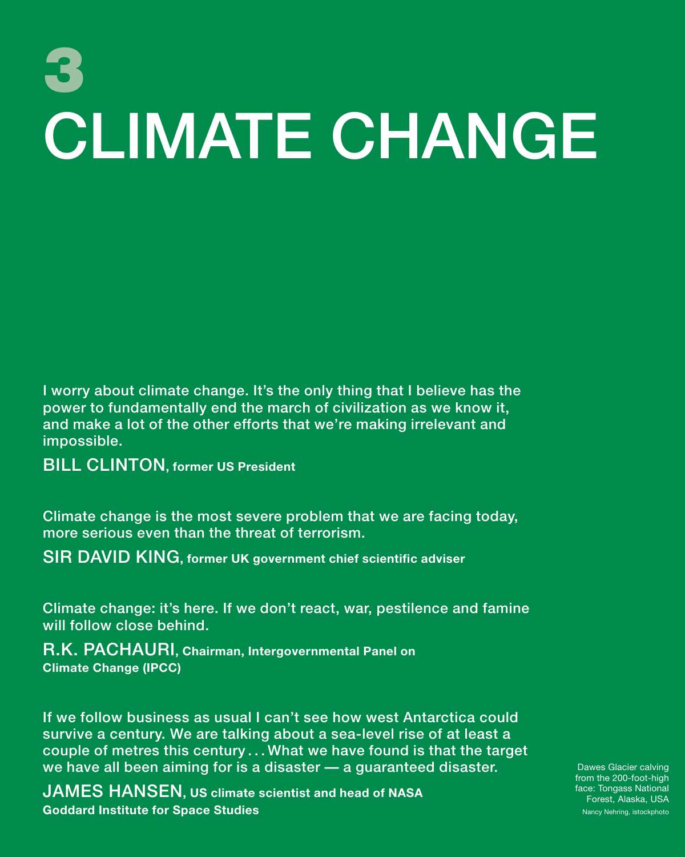# 3 Climate Change

I worry about climate change. It's the only thing that I believe has the power to fundamentally end the march of civilization as we know it, and make a lot of the other efforts that we're making irrelevant and impossible.

**BILL CLINTON**, former US President

Climate change is the most severe problem that we are facing today, more serious even than the threat of terrorism.

**SIR DAVID KING, former UK government chief scientific adviser** 

Climate change: it's here. If we don't react, war, pestilence and famine will follow close behind.

R.K. Pachauri**, Chairman, Intergovernmental Panel on Climate Change (IPCC)**

If we follow business as usual I can't see how west Antarctica could survive a century. We are talking about a sea-level rise of at least a couple of metres this century . . . What we have found is that the target we have all been aiming for is a disaster — a guaranteed disaster.

James Hansen**, US climate scientist and head of NASA Goddard Institute for Space Studies**

Dawes Glacier calving from the 200-foot-high face: Tongass National Forest, Alaska, USA Nancy Nehring, istockphoto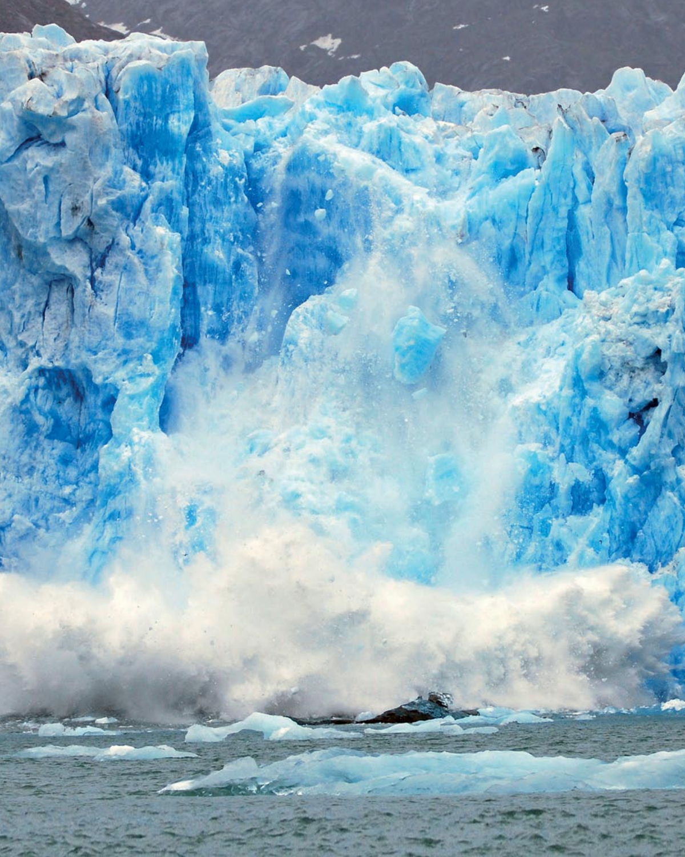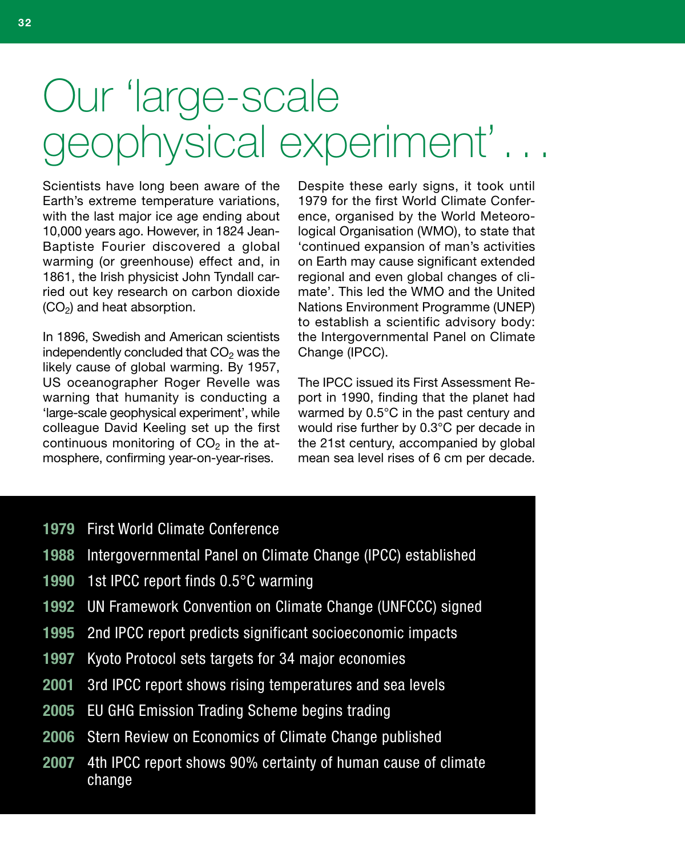# Our 'large-scale geophysical experiment'.

Scientists have long been aware of the Earth's extreme temperature variations, with the last major ice age ending about 10,000 years ago. However, in 1824 Jean-Baptiste Fourier discovered a global warming (or greenhouse) effect and, in 1861, the Irish physicist John Tyndall carried out key research on carbon dioxide  $(CO<sub>2</sub>)$  and heat absorption.

In 1896, Swedish and American scientists independently concluded that  $CO<sub>2</sub>$  was the likely cause of global warming. By 1957, US oceanographer Roger Revelle was warning that humanity is conducting a 'large-scale geophysical experiment', while colleague David Keeling set up the first continuous monitoring of  $CO<sub>2</sub>$  in the atmosphere, confirming year-on-year-rises.

Despite these early signs, it took until 1979 for the first World Climate Conference, organised by the World Meteorological Organisation (WMO), to state that 'continued expansion of man's activities on Earth may cause significant extended regional and even global changes of climate'. This led the WMO and the United Nations Environment Programme (UNEP) to establish a scientific advisory body: the Intergovernmental Panel on Climate Change (IPCC).

The IPCC issued its First Assessment Report in 1990, finding that the planet had warmed by 0.5°C in the past century and would rise further by 0.3°C per decade in the 21st century, accompanied by global mean sea level rises of 6 cm per decade.

- **1979** First World Climate Conference
- **1988** Intergovernmental Panel on Climate Change (IPCC) established
- **1990** 1st IPCC report finds 0.5°C warming
- **1992** UN Framework Convention on Climate Change (UNFCCC) signed
- **1995** 2nd IPCC report predicts significant socioeconomic impacts
- **1997** Kyoto Protocol sets targets for 34 major economies
- **2001** 3rd IPCC report shows rising temperatures and sea levels
- **2005** EU GHG Emission Trading Scheme begins trading
- **2006** Stern Review on Economics of Climate Change published
- **2007** 4th IPCC report shows 90% certainty of human cause of climate change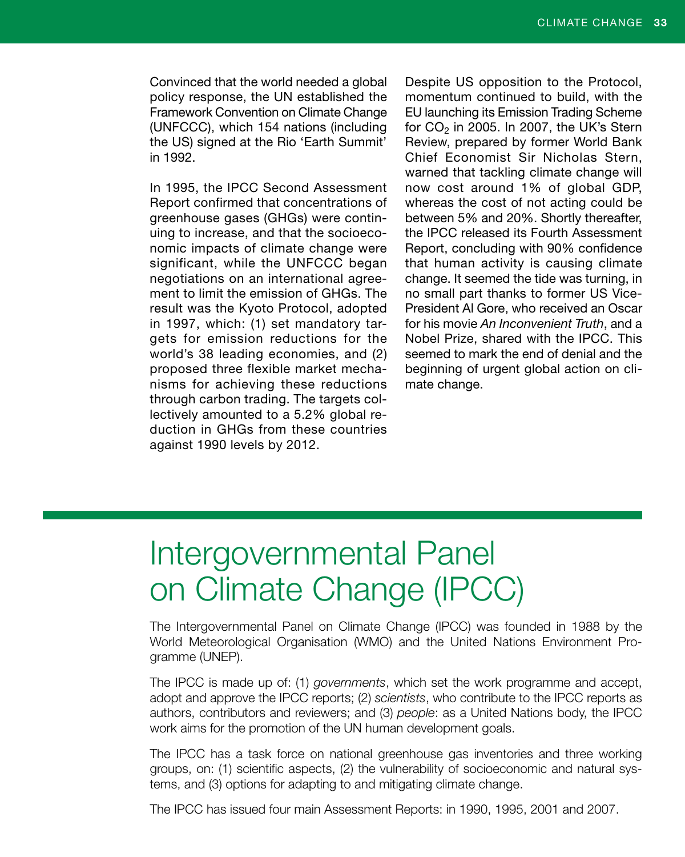Convinced that the world needed a global policy response, the UN established the Framework Convention on Climate Change (UNFCCC), which 154 nations (including the US) signed at the Rio 'Earth Summit' in 1992.

In 1995, the IPCC Second Assessment Report confirmed that concentrations of greenhouse gases (GHGs) were continuing to increase, and that the socioeconomic impacts of climate change were significant, while the UNFCCC began negotiations on an international agreement to limit the emission of GHGs. The result was the Kyoto Protocol, adopted in 1997, which: (1) set mandatory targets for emission reductions for the world's 38 leading economies, and (2) proposed three flexible market mechanisms for achieving these reductions through carbon trading. The targets collectively amounted to a 5.2% global reduction in GHGs from these countries against 1990 levels by 2012.

Despite US opposition to the Protocol, momentum continued to build, with the EU launching its Emission Trading Scheme for  $CO<sub>2</sub>$  in 2005. In 2007, the UK's Stern Review, prepared by former World Bank Chief Economist Sir Nicholas Stern, warned that tackling climate change will now cost around 1% of global GDP, whereas the cost of not acting could be between 5% and 20%. Shortly thereafter, the IPCC released its Fourth Assessment Report, concluding with 90% confidence that human activity is causing climate change. It seemed the tide was turning, in no small part thanks to former US Vice-President Al Gore, who received an Oscar for his movie *An Inconvenient Truth*, and a Nobel Prize, shared with the IPCC. This seemed to mark the end of denial and the beginning of urgent global action on climate change.

## Intergovernmental Panel on Climate Change (IPCC)

The Intergovernmental Panel on Climate Change (IPCC) was founded in 1988 by the World Meteorological Organisation (WMO) and the United Nations Environment Programme (UNEP).

The IPCC is made up of: (1) *governments*, which set the work programme and accept, adopt and approve the IPCC reports; (2) *scientists*, who contribute to the IPCC reports as authors, contributors and reviewers; and (3) *people*: as a United Nations body, the IPCC work aims for the promotion of the UN human development goals.

The IPCC has a task force on national greenhouse gas inventories and three working groups, on: (1) scientific aspects, (2) the vulnerability of socioeconomic and natural systems, and (3) options for adapting to and mitigating climate change.

The IPCC has issued four main Assessment Reports: in 1990, 1995, 2001 and 2007.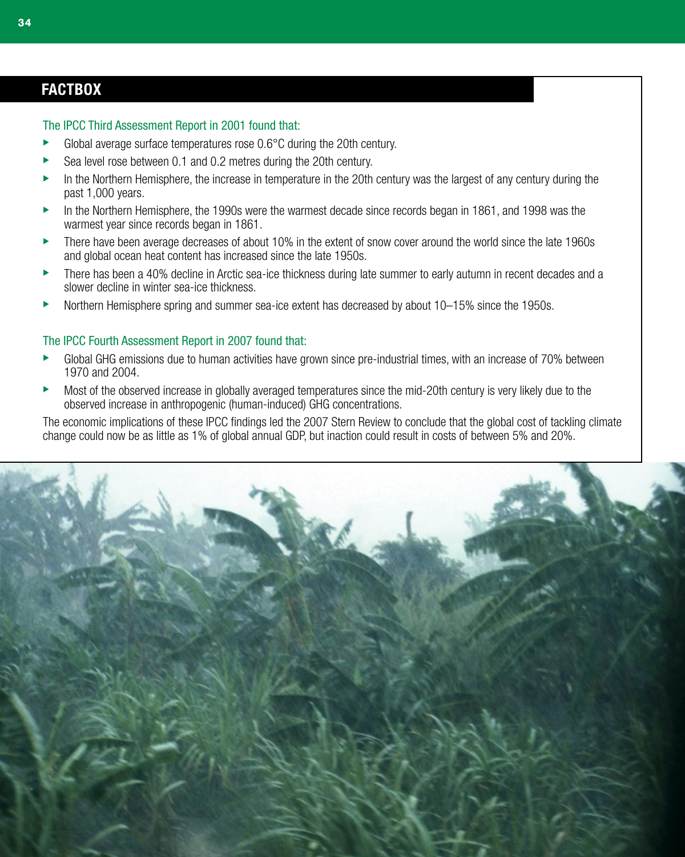#### **FACTBOX**

#### The IPCC Third Assessment Report in 2001 found that:

- Global average surface temperatures rose 0.6°C during the 20th century.
- Sea level rose between 0.1 and 0.2 metres during the 20th century.
- In the Northern Hemisphere, the increase in temperature in the 20th century was the largest of any century during the past 1,000 years.
- In the Northern Hemisphere, the 1990s were the warmest decade since records began in 1861, and 1998 was the warmest year since records began in 1861.
- There have been average decreases of about 10% in the extent of snow cover around the world since the late 1960s and global ocean heat content has increased since the late 1950s.
- There has been a 40% decline in Arctic sea-ice thickness during late summer to early autumn in recent decades and a slower decline in winter sea-ice thickness.
- Northern Hemisphere spring and summer sea-ice extent has decreased by about 10–15% since the 1950s.

#### The IPCC Fourth Assessment Report in 2007 found that:

- Global GHG emissions due to human activities have grown since pre-industrial times, with an increase of 70% between 1970 and 2004.
- Most of the observed increase in globally averaged temperatures since the mid-20th century is very likely due to the observed increase in anthropogenic (human-induced) GHG concentrations.

The economic implications of these IPCC findings led the 2007 Stern Review to conclude that the global cost of tackling climate change could now be as little as 1% of global annual GDP, but inaction could result in costs of between 5% and 20%.

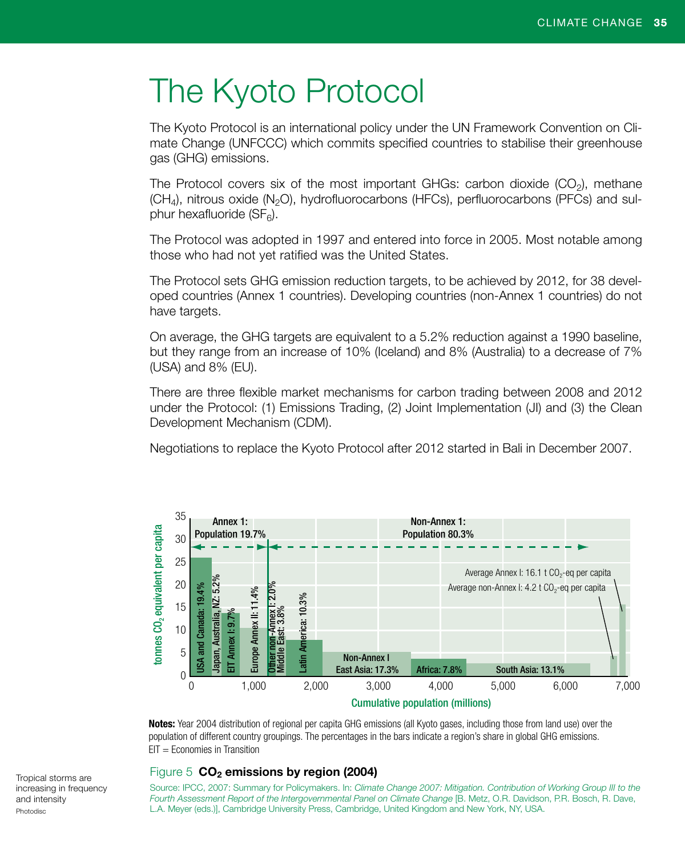### The Kyoto Protocol

The Kyoto Protocol is an international policy under the UN Framework Convention on Climate Change (UNFCCC) which commits specified countries to stabilise their greenhouse gas (GHG) emissions.

The Protocol covers six of the most important GHGs: carbon dioxide  $(CO<sub>2</sub>)$ , methane  $(CH<sub>d</sub>)$ , nitrous oxide (N<sub>2</sub>O), hydrofluorocarbons (HFCs), perfluorocarbons (PFCs) and sulphur hexafluoride ( $SF<sub>6</sub>$ ).

The Protocol was adopted in 1997 and entered into force in 2005. Most notable among those who had not yet ratified was the United States.

The Protocol sets GHG emission reduction targets, to be achieved by 2012, for 38 developed countries (Annex 1 countries). Developing countries (non-Annex 1 countries) do not have targets.

On average, the GHG targets are equivalent to a 5.2% reduction against a 1990 baseline, but they range from an increase of 10% (Iceland) and 8% (Australia) to a decrease of 7% (USA) and 8% (EU).

There are three flexible market mechanisms for carbon trading between 2008 and 2012 under the Protocol: (1) Emissions Trading, (2) Joint Implementation (JI) and (3) the Clean Development Mechanism (CDM).

Negotiations to replace the Kyoto Protocol after 2012 started in Bali in December 2007.



Notes: Year 2004 distribution of regional per capita GHG emissions (all Kyoto gases, including those from land use) over the population of different country groupings. The percentages in the bars indicate a region's share in global GHG emissions.  $FIT = Fconomics in Transition$ 

#### Figure 5  $CO<sub>2</sub>$  emissions by region (2004)

Source: IPCC, 2007: Summary for Policymakers. In: *Climate Change 2007: Mitigation. Contribution of Working Group III to the Fourth Assessment Report of the Intergovernmental Panel on Climate Change* [B. Metz, O.R. Davidson, P.R. Bosch, R. Dave, L.A. Meyer (eds.)], Cambridge University Press, Cambridge, United Kingdom and New York, NY, USA.

Tropical storms are increasing in frequency and intensity Photodisc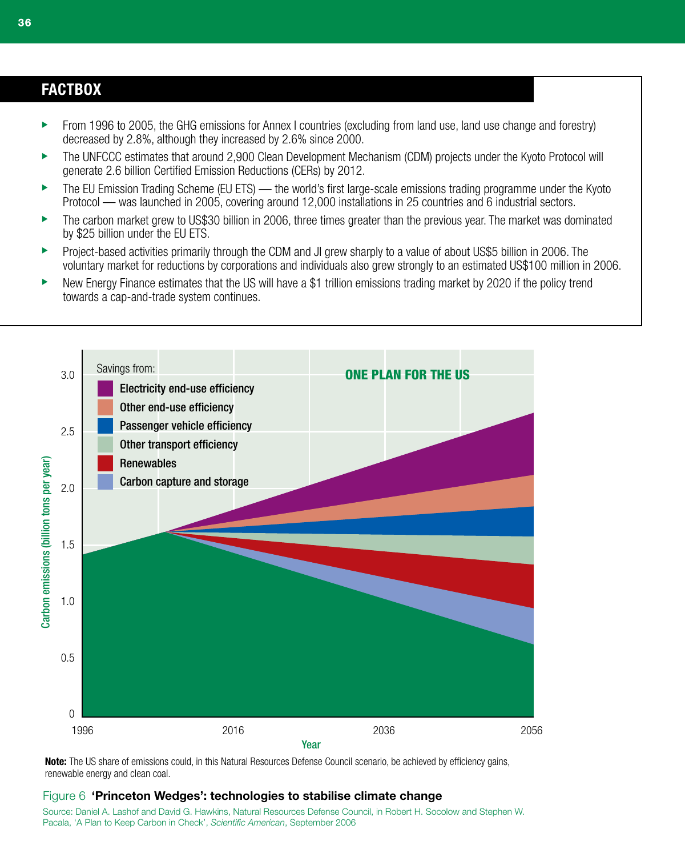#### **FACTBOX**

- From 1996 to 2005, the GHG emissions for Annex I countries (excluding from land use, land use change and forestry) decreased by 2.8%, although they increased by 2.6% since 2000.
- **EXECC** estimates that around 2,900 Clean Development Mechanism (CDM) projects under the Kyoto Protocol will generate 2.6 billion Certified Emission Reductions (CERs) by 2012.
- $\blacktriangleright$  The EU Emission Trading Scheme (EU ETS) the world's first large-scale emissions trading programme under the Kyoto Protocol — was launched in 2005, covering around 12,000 installations in 25 countries and 6 industrial sectors.
- $\blacktriangleright$  The carbon market grew to US\$30 billion in 2006, three times greater than the previous year. The market was dominated by \$25 billion under the EU ETS.
- Project-based activities primarily through the CDM and JI grew sharply to a value of about US\$5 billion in 2006. The voluntary market for reductions by corporations and individuals also grew strongly to an estimated US\$100 million in 2006.
- $\blacktriangleright$  New Energy Finance estimates that the US will have a \$1 trillion emissions trading market by 2020 if the policy trend towards a cap-and-trade system continues.



**TEFFICIES AND DISPONSCIONS CONFIDENT COMPONENT AND ALLOCATED SEFENSE DEMANDED AS A LEGACIONS SYSTEMS,**<br>TENEWABLE ENERGY and clean coal. RENEWABLEENERGYANDCLEANCOAL **Note:** The US share of emissions could, in this Natural Resources Defense Council scenario, be achieved by efficiency gains.

#### Figure 6 **'Princeton Wedges': technologies to stabilise climate change**

Source: Daniel A. Lashof and David G. Hawkins, Natural Resources Defense Council, in Robert H. Socolow and Stephen W. Pacala, 'A Plan to Keep Carbon in Check', *Scientific American*, September 2006